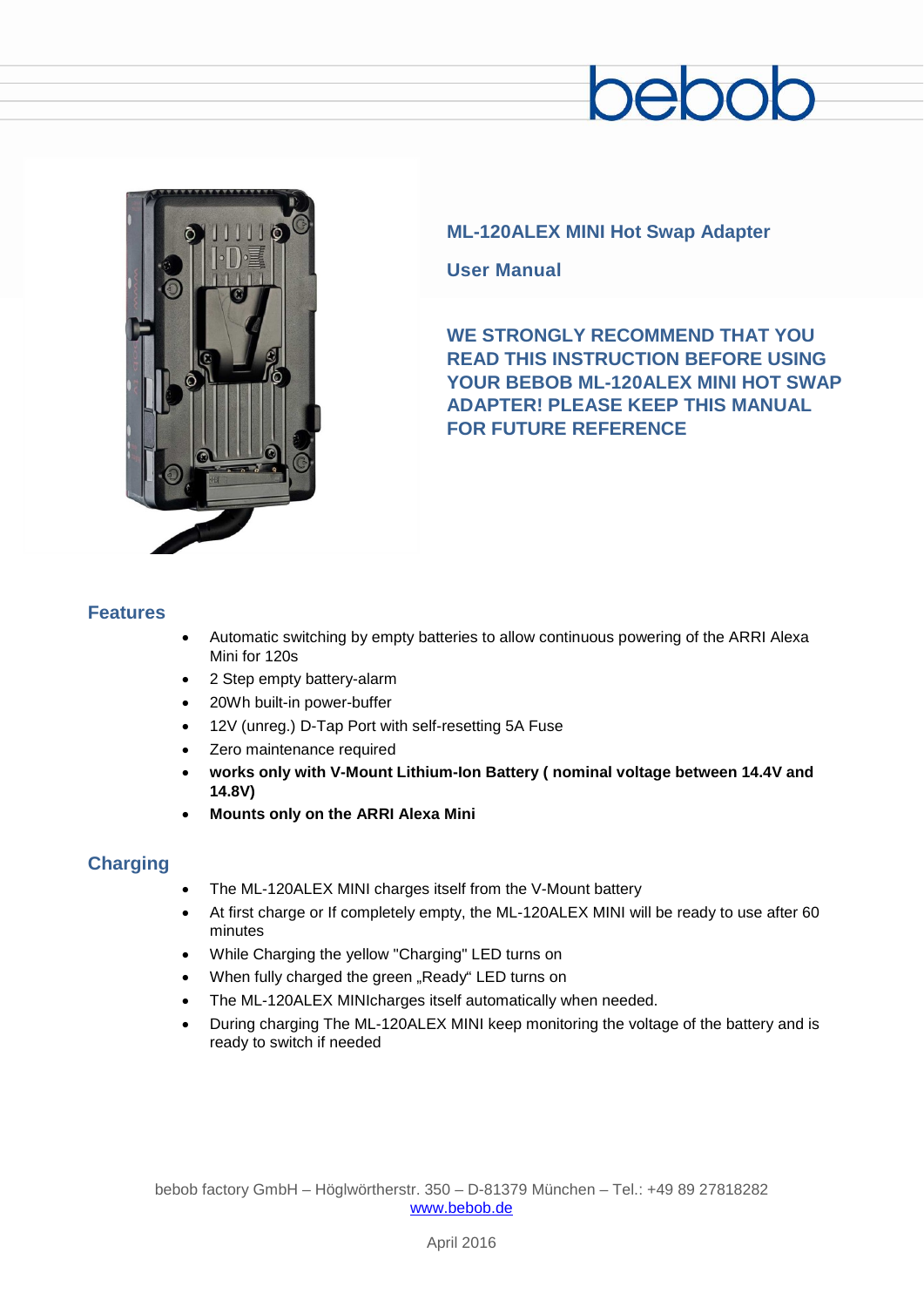# end



# **ML-120ALEX MINI Hot Swap Adapter**

**User Manual**

**WE STRONGLY RECOMMEND THAT YOU READ THIS INSTRUCTION BEFORE USING YOUR BEBOB ML-120ALEX MINI HOT SWAP ADAPTER! PLEASE KEEP THIS MANUAL FOR FUTURE REFERENCE**

### **Features**

- Automatic switching by empty batteries to allow continuous powering of the ARRI Alexa Mini for 120s
- 2 Step empty battery-alarm
- 20Wh built-in power-buffer
- 12V (unreg.) D-Tap Port with self-resetting 5A Fuse
- Zero maintenance required
- **works only with V-Mount Lithium-Ion Battery ( nominal voltage between 14.4V and 14.8V)**
- **Mounts only on the ARRI Alexa Mini**

## **Charging**

- The ML-120ALEX MINI charges itself from the V-Mount battery
- At first charge or If completely empty, the ML-120ALEX MINI will be ready to use after 60 minutes
- While Charging the yellow "Charging" LED turns on
- When fully charged the green "Ready" LED turns on
- The ML-120ALEX MINIcharges itself automatically when needed.
- During charging The ML-120ALEX MINI keep monitoring the voltage of the battery and is ready to switch if needed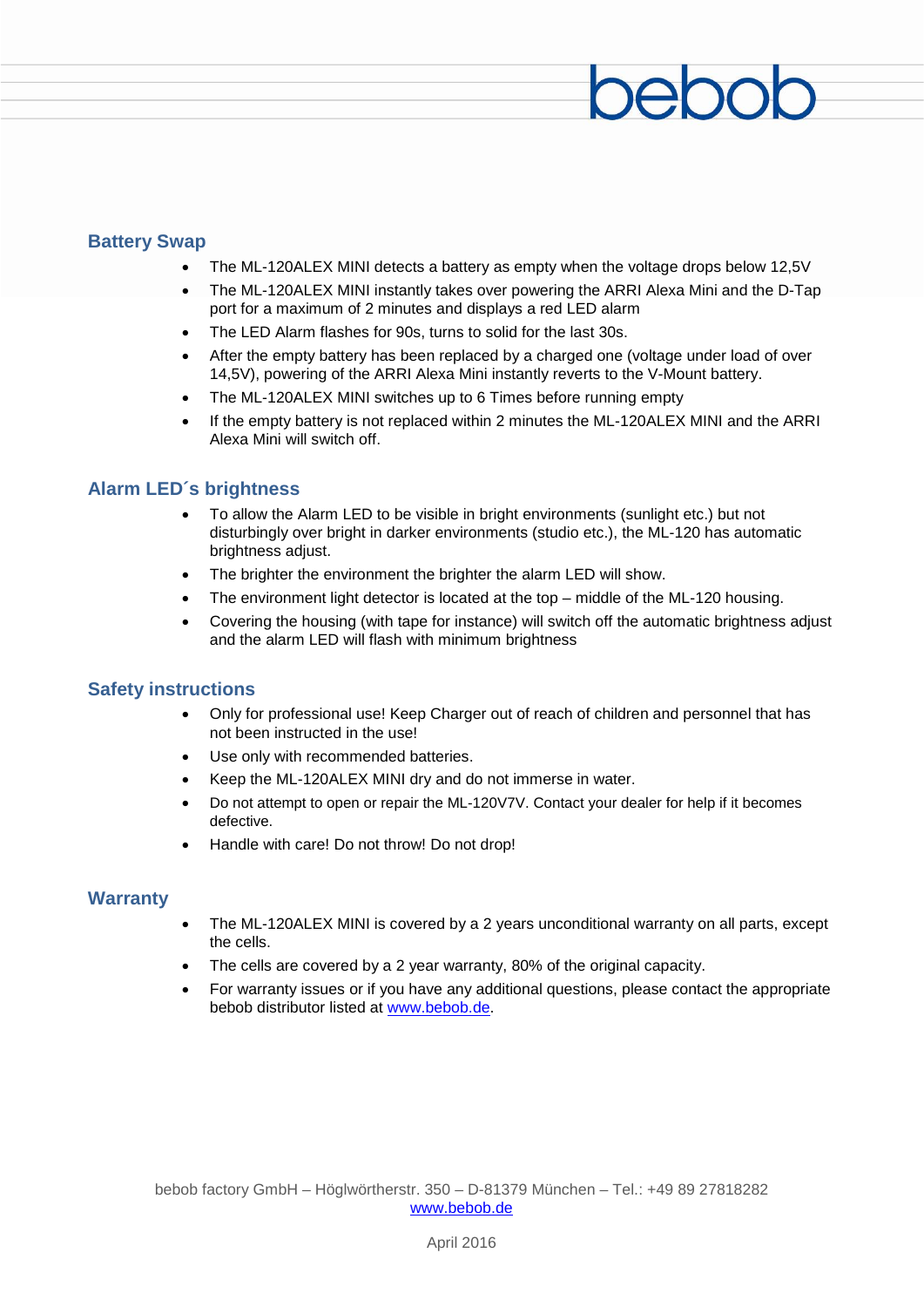#### **Battery Swap**

- The ML-120ALEX MINI detects a battery as empty when the voltage drops below 12,5V
- The ML-120ALEX MINI instantly takes over powering the ARRI Alexa Mini and the D-Tap port for a maximum of 2 minutes and displays a red LED alarm
- The LED Alarm flashes for 90s, turns to solid for the last 30s.
- After the empty battery has been replaced by a charged one (voltage under load of over 14,5V), powering of the ARRI Alexa Mini instantly reverts to the V-Mount battery.
- The ML-120ALEX MINI switches up to 6 Times before running empty
- If the empty battery is not replaced within 2 minutes the ML-120ALEX MINI and the ARRI Alexa Mini will switch off.

### **Alarm LED´s brightness**

- To allow the Alarm LED to be visible in bright environments (sunlight etc.) but not disturbingly over bright in darker environments (studio etc.), the ML-120 has automatic brightness adjust.
- The brighter the environment the brighter the alarm LED will show.
- The environment light detector is located at the top  $-$  middle of the ML-120 housing.
- Covering the housing (with tape for instance) will switch off the automatic brightness adjust and the alarm LED will flash with minimum brightness

#### **Safety instructions**

- Only for professional use! Keep Charger out of reach of children and personnel that has not been instructed in the use!
- Use only with recommended batteries.
- Keep the ML-120ALEX MINI dry and do not immerse in water.
- Do not attempt to open or repair the ML-120V7V. Contact your dealer for help if it becomes defective.
- Handle with care! Do not throw! Do not drop!

#### **Warranty**

- The ML-120ALEX MINI is covered by a 2 years unconditional warranty on all parts, except the cells.
- The cells are covered by a 2 year warranty, 80% of the original capacity.
- For warranty issues or if you have any additional questions, please contact the appropriate bebob distributor listed at [www.bebob.de.](http://www.bebob.de/)